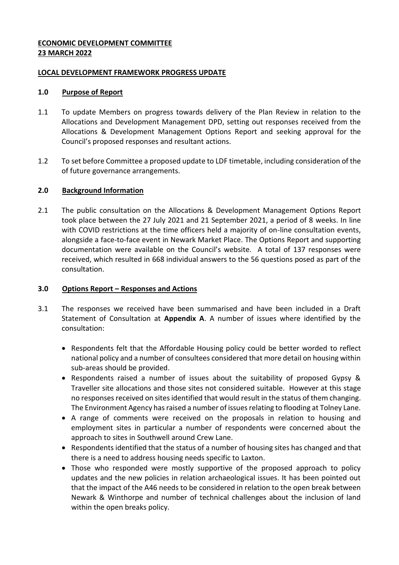# **ECONOMIC DEVELOPMENT COMMITTEE 23 MARCH 2022**

#### **LOCAL DEVELOPMENT FRAMEWORK PROGRESS UPDATE**

#### **1.0 Purpose of Report**

- 1.1 To update Members on progress towards delivery of the Plan Review in relation to the Allocations and Development Management DPD, setting out responses received from the Allocations & Development Management Options Report and seeking approval for the Council's proposed responses and resultant actions.
- 1.2 To set before Committee a proposed update to LDF timetable, including consideration of the of future governance arrangements.

### **2.0 Background Information**

2.1 The public consultation on the Allocations & Development Management Options Report took place between the 27 July 2021 and 21 September 2021, a period of 8 weeks. In line with COVID restrictions at the time officers held a majority of on-line consultation events, alongside a face-to-face event in Newark Market Place. The Options Report and supporting documentation were available on the Council's website. A total of 137 responses were received, which resulted in 668 individual answers to the 56 questions posed as part of the consultation.

# **3.0 Options Report – Responses and Actions**

- 3.1 The responses we received have been summarised and have been included in a Draft Statement of Consultation at **Appendix A**. A number of issues where identified by the consultation:
	- Respondents felt that the Affordable Housing policy could be better worded to reflect national policy and a number of consultees considered that more detail on housing within sub-areas should be provided.
	- Respondents raised a number of issues about the suitability of proposed Gypsy & Traveller site allocations and those sites not considered suitable. However at this stage no responses received on sites identified that would result in the status of them changing. The Environment Agency has raised a number of issues relating to flooding at Tolney Lane.
	- A range of comments were received on the proposals in relation to housing and employment sites in particular a number of respondents were concerned about the approach to sites in Southwell around Crew Lane.
	- Respondents identified that the status of a number of housing sites has changed and that there is a need to address housing needs specific to Laxton.
	- Those who responded were mostly supportive of the proposed approach to policy updates and the new policies in relation archaeological issues. It has been pointed out that the impact of the A46 needs to be considered in relation to the open break between Newark & Winthorpe and number of technical challenges about the inclusion of land within the open breaks policy.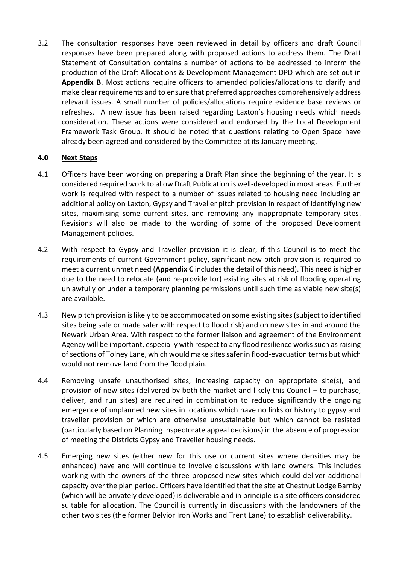3.2 The consultation responses have been reviewed in detail by officers and draft Council responses have been prepared along with proposed actions to address them. The Draft Statement of Consultation contains a number of actions to be addressed to inform the production of the Draft Allocations & Development Management DPD which are set out in **Appendix B**. Most actions require officers to amended policies/allocations to clarify and make clear requirements and to ensure that preferred approaches comprehensively address relevant issues. A small number of policies/allocations require evidence base reviews or refreshes. A new issue has been raised regarding Laxton's housing needs which needs consideration. These actions were considered and endorsed by the Local Development Framework Task Group. It should be noted that questions relating to Open Space have already been agreed and considered by the Committee at its January meeting.

# **4.0 Next Steps**

- 4.1 Officers have been working on preparing a Draft Plan since the beginning of the year. It is considered required work to allow Draft Publication is well-developed in most areas. Further work is required with respect to a number of issues related to housing need including an additional policy on Laxton, Gypsy and Traveller pitch provision in respect of identifying new sites, maximising some current sites, and removing any inappropriate temporary sites. Revisions will also be made to the wording of some of the proposed Development Management policies.
- 4.2 With respect to Gypsy and Traveller provision it is clear, if this Council is to meet the requirements of current Government policy, significant new pitch provision is required to meet a current unmet need (**Appendix C** includes the detail of this need). This need is higher due to the need to relocate (and re-provide for) existing sites at risk of flooding operating unlawfully or under a temporary planning permissions until such time as viable new site(s) are available.
- 4.3 New pitch provision is likely to be accommodated on some existing sites (subject to identified sites being safe or made safer with respect to flood risk) and on new sites in and around the Newark Urban Area. With respect to the former liaison and agreement of the Environment Agency will be important, especially with respect to any flood resilience works such as raising of sections of Tolney Lane, which would make sites safer in flood-evacuation terms but which would not remove land from the flood plain.
- 4.4 Removing unsafe unauthorised sites, increasing capacity on appropriate site(s), and provision of new sites (delivered by both the market and likely this Council – to purchase, deliver, and run sites) are required in combination to reduce significantly the ongoing emergence of unplanned new sites in locations which have no links or history to gypsy and traveller provision or which are otherwise unsustainable but which cannot be resisted (particularly based on Planning Inspectorate appeal decisions) in the absence of progression of meeting the Districts Gypsy and Traveller housing needs.
- 4.5 Emerging new sites (either new for this use or current sites where densities may be enhanced) have and will continue to involve discussions with land owners. This includes working with the owners of the three proposed new sites which could deliver additional capacity over the plan period. Officers have identified that the site at Chestnut Lodge Barnby (which will be privately developed) is deliverable and in principle is a site officers considered suitable for allocation. The Council is currently in discussions with the landowners of the other two sites (the former Belvior Iron Works and Trent Lane) to establish deliverability.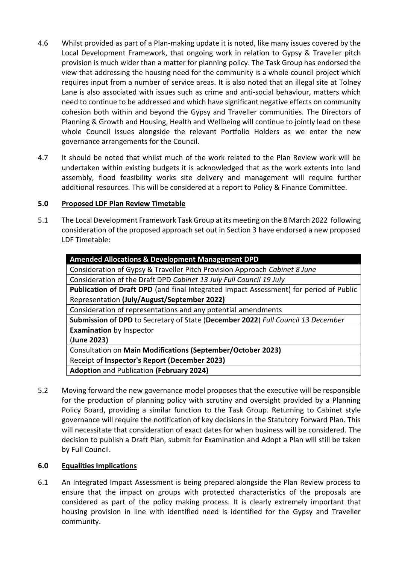- 4.6 Whilst provided as part of a Plan-making update it is noted, like many issues covered by the Local Development Framework, that ongoing work in relation to Gypsy & Traveller pitch provision is much wider than a matter for planning policy. The Task Group has endorsed the view that addressing the housing need for the community is a whole council project which requires input from a number of service areas. It is also noted that an illegal site at Tolney Lane is also associated with issues such as crime and anti-social behaviour, matters which need to continue to be addressed and which have significant negative effects on community cohesion both within and beyond the Gypsy and Traveller communities. The Directors of Planning & Growth and Housing, Health and Wellbeing will continue to jointly lead on these whole Council issues alongside the relevant Portfolio Holders as we enter the new governance arrangements for the Council.
- 4.7 It should be noted that whilst much of the work related to the Plan Review work will be undertaken within existing budgets it is acknowledged that as the work extents into land assembly, flood feasibility works site delivery and management will require further additional resources. This will be considered at a report to Policy & Finance Committee.

# **5.0 Proposed LDF Plan Review Timetable**

5.1 The Local Development Framework Task Group at its meeting on the 8 March 2022 following consideration of the proposed approach set out in Section 3 have endorsed a new proposed LDF Timetable:

| <b>Amended Allocations &amp; Development Management DPD</b>                            |
|----------------------------------------------------------------------------------------|
| Consideration of Gypsy & Traveller Pitch Provision Approach Cabinet 8 June             |
| Consideration of the Draft DPD Cabinet 13 July Full Council 19 July                    |
| Publication of Draft DPD (and final Integrated Impact Assessment) for period of Public |
| Representation (July/August/September 2022)                                            |
| Consideration of representations and any potential amendments                          |
| Submission of DPD to Secretary of State (December 2022) Full Council 13 December       |
| <b>Examination</b> by Inspector                                                        |
| (June 2023)                                                                            |
| Consultation on Main Modifications (September/October 2023)                            |
| Receipt of Inspector's Report (December 2023)                                          |
| <b>Adoption and Publication (February 2024)</b>                                        |

5.2 Moving forward the new governance model proposes that the executive will be responsible for the production of planning policy with scrutiny and oversight provided by a Planning Policy Board, providing a similar function to the Task Group. Returning to Cabinet style governance will require the notification of key decisions in the Statutory Forward Plan. This will necessitate that consideration of exact dates for when business will be considered. The decision to publish a Draft Plan, submit for Examination and Adopt a Plan will still be taken by Full Council.

# **6.0 Equalities Implications**

6.1 An Integrated Impact Assessment is being prepared alongside the Plan Review process to ensure that the impact on groups with protected characteristics of the proposals are considered as part of the policy making process. It is clearly extremely important that housing provision in line with identified need is identified for the Gypsy and Traveller community.